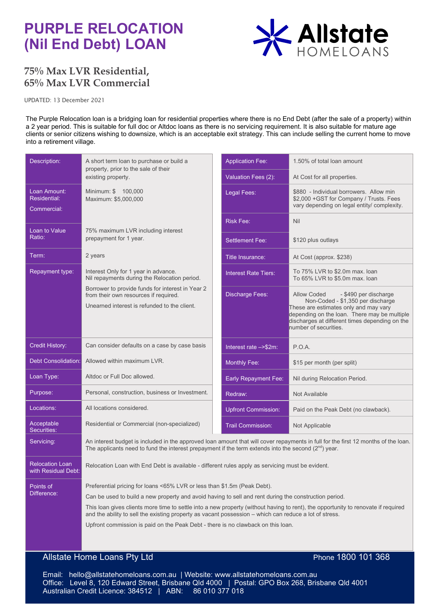# **PURPLE RELOCATION (Nil End Debt) LOAN**



# **75% Max LVR Residential, 65% Max LVR Commercial**

UPDATED: 13 December 2021

The Purple Relocation loan is a bridging loan for residential properties where there is no End Debt (after the sale of a property) within a 2 year period. This is suitable for full doc or Altdoc loans as there is no servicing requirement. It is also suitable for mature age clients or senior citizens wishing to downsize, which is an acceptable exit strategy. This can include selling the current home to move into a retirement village.

| Description:                                  | A short term loan to purchase or build a<br>property, prior to the sale of their<br>existing property.                                                                                                                                                                                                                                                                                                                                                                                                               |  | <b>Application Fee:</b>     | 1.50% of total loan amount                                                                                                                                                                            |
|-----------------------------------------------|----------------------------------------------------------------------------------------------------------------------------------------------------------------------------------------------------------------------------------------------------------------------------------------------------------------------------------------------------------------------------------------------------------------------------------------------------------------------------------------------------------------------|--|-----------------------------|-------------------------------------------------------------------------------------------------------------------------------------------------------------------------------------------------------|
|                                               |                                                                                                                                                                                                                                                                                                                                                                                                                                                                                                                      |  | Valuation Fees (2):         | At Cost for all properties.                                                                                                                                                                           |
| Loan Amount:<br>Residential:<br>Commercial:   | Minimum: \$ 100,000<br>Maximum: \$5,000,000                                                                                                                                                                                                                                                                                                                                                                                                                                                                          |  | Legal Fees:                 | \$880 - Individual borrowers. Allow min<br>\$2,000 + GST for Company / Trusts. Fees<br>vary depending on legal entity/ complexity.                                                                    |
|                                               |                                                                                                                                                                                                                                                                                                                                                                                                                                                                                                                      |  | <b>Risk Fee:</b>            | Nil                                                                                                                                                                                                   |
| Loan to Value<br>Ratio:                       | 75% maximum LVR including interest<br>prepayment for 1 year.                                                                                                                                                                                                                                                                                                                                                                                                                                                         |  | <b>Settlement Fee:</b>      | \$120 plus outlays                                                                                                                                                                                    |
| Term:                                         | 2 years                                                                                                                                                                                                                                                                                                                                                                                                                                                                                                              |  | <b>Title Insurance:</b>     | At Cost (approx. \$238)                                                                                                                                                                               |
| Repayment type:                               | Interest Only for 1 year in advance.<br>Nil repayments during the Relocation period.                                                                                                                                                                                                                                                                                                                                                                                                                                 |  | <b>Interest Rate Tiers:</b> | To 75% LVR to \$2.0m max. loan<br>To 65% LVR to \$5.0m max. loan                                                                                                                                      |
|                                               | Borrower to provide funds for interest in Year 2<br>from their own resources if required.                                                                                                                                                                                                                                                                                                                                                                                                                            |  | <b>Discharge Fees:</b>      | <b>Allow Coded</b><br>- \$490 per discharge                                                                                                                                                           |
|                                               | Unearned interest is refunded to the client.                                                                                                                                                                                                                                                                                                                                                                                                                                                                         |  |                             | Non-Coded - \$1,350 per discharge<br>These are estimates only and may vary<br>depending on the loan. There may be multiple<br>discharges at different times depending on the<br>number of securities. |
| <b>Credit History:</b>                        | Can consider defaults on a case by case basis                                                                                                                                                                                                                                                                                                                                                                                                                                                                        |  | Interest rate ->\$2m:       | P.O.A.                                                                                                                                                                                                |
| Debt Consolidation:                           | Allowed within maximum LVR.                                                                                                                                                                                                                                                                                                                                                                                                                                                                                          |  | <b>Monthly Fee:</b>         | \$15 per month (per split)                                                                                                                                                                            |
| Loan Type:                                    | Altdoc or Full Doc allowed.                                                                                                                                                                                                                                                                                                                                                                                                                                                                                          |  | Early Repayment Fee:        | Nil during Relocation Period.                                                                                                                                                                         |
| Purpose:                                      | Personal, construction, business or Investment.                                                                                                                                                                                                                                                                                                                                                                                                                                                                      |  | Redraw:                     | Not Available                                                                                                                                                                                         |
| Locations:                                    | All locations considered.                                                                                                                                                                                                                                                                                                                                                                                                                                                                                            |  | <b>Upfront Commission:</b>  | Paid on the Peak Debt (no clawback).                                                                                                                                                                  |
| Acceptable<br>Securities:                     | Residential or Commercial (non-specialized)                                                                                                                                                                                                                                                                                                                                                                                                                                                                          |  | <b>Trail Commission:</b>    | Not Applicable                                                                                                                                                                                        |
| Servicing:                                    | An interest budget is included in the approved loan amount that will cover repayments in full for the first 12 months of the loan.<br>The applicants need to fund the interest prepayment if the term extends into the second $(2nd)$ year.                                                                                                                                                                                                                                                                          |  |                             |                                                                                                                                                                                                       |
| <b>Relocation Loan</b><br>with Residual Debt: | Relocation Loan with End Debt is available - different rules apply as servicing must be evident.                                                                                                                                                                                                                                                                                                                                                                                                                     |  |                             |                                                                                                                                                                                                       |
| Points of<br>Difference:                      | Preferential pricing for loans <65% LVR or less than \$1.5m (Peak Debt).<br>Can be used to build a new property and avoid having to sell and rent during the construction period.<br>This loan gives clients more time to settle into a new property (without having to rent), the opportunity to renovate if required<br>and the ability to sell the existing property as vacant possession – which can reduce a lot of stress.<br>Upfront commission is paid on the Peak Debt - there is no clawback on this loan. |  |                             |                                                                                                                                                                                                       |

# **Allstate Home Loans Pty Ltd** Phone 1800 101 368

 Email: hello@allstatehomeloans.com.au | Website: www.allstatehomeloans.com.au Office: Level 8, 120 Edward Street, Brisbane Qld 4000 | Postal: GPO Box 268, Brisbane Qld 4001 Australian Credit Licence: 384512 | ABN: 86 010 377 018